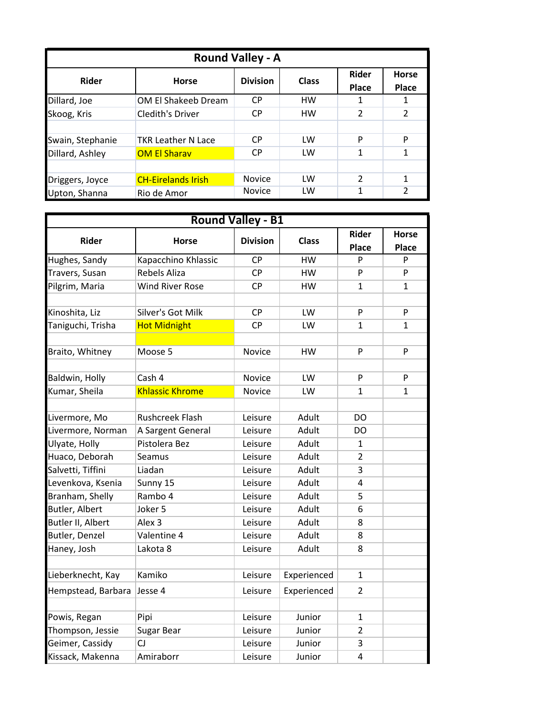| <b>Round Valley - A</b> |                           |                 |              |                              |                              |  |  |  |
|-------------------------|---------------------------|-----------------|--------------|------------------------------|------------------------------|--|--|--|
| <b>Rider</b>            | <b>Horse</b>              | <b>Division</b> | <b>Class</b> | <b>Rider</b><br><b>Place</b> | <b>Horse</b><br><b>Place</b> |  |  |  |
| Dillard, Joe            | OM El Shakeeb Dream       | <b>CP</b>       | <b>HW</b>    |                              |                              |  |  |  |
| Skoog, Kris             | <b>Cledith's Driver</b>   | <b>CP</b>       | HW           | $\mathfrak{p}$               | $\overline{2}$               |  |  |  |
|                         |                           |                 |              |                              |                              |  |  |  |
| Swain, Stephanie        | <b>TKR Leather N Lace</b> | CP.             | LW           | P                            | P                            |  |  |  |
| Dillard, Ashley         | <b>OM El Sharav</b>       | <b>CP</b>       | LW           | 1                            | 1                            |  |  |  |
|                         |                           |                 |              |                              |                              |  |  |  |
| Driggers, Joyce         | <b>CH-Eirelands Irish</b> | <b>Novice</b>   | LW           | $\mathcal{P}$                |                              |  |  |  |
| Upton, Shanna           | Rio de Amor               | <b>Novice</b>   | LW           | 1                            | $\overline{2}$               |  |  |  |

|                                    | <b>Round Valley - B1</b>           |                 |              |                              |                              |  |  |  |  |
|------------------------------------|------------------------------------|-----------------|--------------|------------------------------|------------------------------|--|--|--|--|
| <b>Rider</b>                       | <b>Horse</b>                       | <b>Division</b> | <b>Class</b> | <b>Rider</b><br><b>Place</b> | <b>Horse</b><br><b>Place</b> |  |  |  |  |
| Hughes, Sandy                      | Kapacchino Khlassic                | <b>CP</b>       | <b>HW</b>    | P                            | P                            |  |  |  |  |
| Travers, Susan                     | <b>Rebels Aliza</b>                | <b>CP</b>       | HW           | P                            | P                            |  |  |  |  |
| Pilgrim, Maria                     | <b>Wind River Rose</b>             | <b>CP</b>       | HW           | 1                            | $\mathbf{1}$                 |  |  |  |  |
| Kinoshita, Liz                     | Silver's Got Milk                  | <b>CP</b>       | LW           | P                            | P                            |  |  |  |  |
| Taniguchi, Trisha                  | <b>Hot Midnight</b>                | <b>CP</b>       | LW           | 1                            | 1                            |  |  |  |  |
|                                    |                                    |                 |              |                              |                              |  |  |  |  |
| Braito, Whitney                    | Moose 5                            | Novice          | HW           | P                            | P                            |  |  |  |  |
| Baldwin, Holly                     | Cash 4                             | <b>Novice</b>   | LW           | P                            | P                            |  |  |  |  |
| Kumar, Sheila                      | <b>Khlassic Khrome</b>             | Novice          | LW           | 1                            | $\mathbf{1}$                 |  |  |  |  |
|                                    | <b>Rushcreek Flash</b>             | Leisure         | Adult        | <b>DO</b>                    |                              |  |  |  |  |
| Livermore, Mo<br>Livermore, Norman |                                    | Leisure         | Adult        |                              |                              |  |  |  |  |
|                                    | A Sargent General<br>Pistolera Bez |                 | Adult        | DO<br>$\mathbf{1}$           |                              |  |  |  |  |
| Ulyate, Holly                      |                                    | Leisure         |              |                              |                              |  |  |  |  |
| Huaco, Deborah                     | Seamus                             | Leisure         | Adult        | $\overline{2}$               |                              |  |  |  |  |
| Salvetti, Tiffini                  | Liadan                             | Leisure         | Adult        | 3                            |                              |  |  |  |  |
| Levenkova, Ksenia                  | Sunny 15                           | Leisure         | Adult        | 4                            |                              |  |  |  |  |
| Branham, Shelly                    | Rambo 4                            | Leisure         | Adult        | 5.                           |                              |  |  |  |  |
| Butler, Albert                     | Joker 5                            | Leisure         | Adult        | 6                            |                              |  |  |  |  |
| Butler II, Albert                  | Alex <sub>3</sub>                  | Leisure         | Adult        | 8                            |                              |  |  |  |  |
| Butler, Denzel                     | Valentine 4                        | Leisure         | Adult        | 8                            |                              |  |  |  |  |
| Haney, Josh                        | Lakota 8                           | Leisure         | Adult        | 8                            |                              |  |  |  |  |
|                                    |                                    |                 |              |                              |                              |  |  |  |  |
| Lieberknecht, Kay                  | Kamiko                             | Leisure         | Experienced  | $\mathbf{1}$                 |                              |  |  |  |  |
| Hempstead, Barbara                 | Jesse 4                            | Leisure         | Experienced  | $\mathcal{P}$                |                              |  |  |  |  |
|                                    |                                    |                 |              |                              |                              |  |  |  |  |
| Powis, Regan                       | Pipi                               | Leisure         | Junior       | 1                            |                              |  |  |  |  |
| Thompson, Jessie                   | Sugar Bear                         | Leisure         | Junior       | $\overline{2}$               |                              |  |  |  |  |
| Geimer, Cassidy                    | CJ                                 | Leisure         | Junior       | 3                            |                              |  |  |  |  |
| Kissack, Makenna                   | Amiraborr                          | Leisure         | Junior       | 4                            |                              |  |  |  |  |